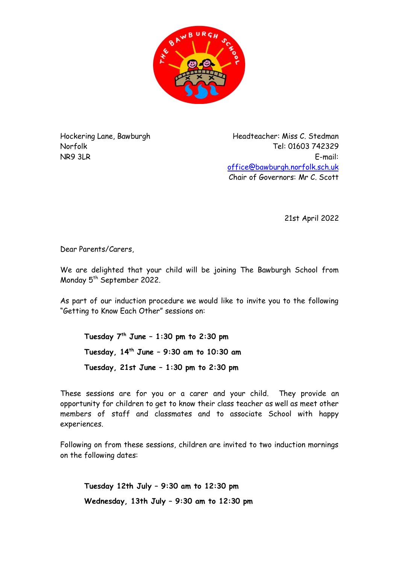

Hockering Lane, Bawburgh Norfolk NR9 3LR

Headteacher: Miss C. Stedman Tel: 01603 742329 E-mail: [office@bawburgh.norfolk.sch.uk](mailto:office@bawburgh.norfolk.sch.uk) Chair of Governors: Mr C. Scott

21st April 2022

Dear Parents/Carers,

We are delighted that your child will be joining The Bawburgh School from Monday 5 th September 2022.

As part of our induction procedure we would like to invite you to the following "Getting to Know Each Other" sessions on:

**Tuesday 7 th June – 1:30 pm to 2:30 pm Tuesday, 14 th June – 9:30 am to 10:30 am Tuesday, 21st June – 1:30 pm to 2:30 pm**

These sessions are for you or a carer and your child. They provide an opportunity for children to get to know their class teacher as well as meet other members of staff and classmates and to associate School with happy experiences.

Following on from these sessions, children are invited to two induction mornings on the following dates:

**Tuesday 12th July – 9:30 am to 12:30 pm Wednesday, 13th July – 9:30 am to 12:30 pm**